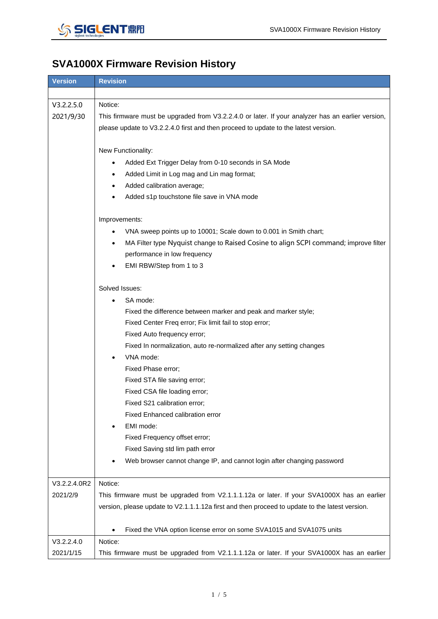

## **SVA1000X Firmware Revision History**

| <b>Version</b> | <b>Revision</b>                                                                                   |
|----------------|---------------------------------------------------------------------------------------------------|
|                |                                                                                                   |
| V3.2.2.5.0     | Notice:                                                                                           |
| 2021/9/30      | This firmware must be upgraded from V3.2.2.4.0 or later. If your analyzer has an earlier version, |
|                | please update to V3.2.2.4.0 first and then proceed to update to the latest version.               |
|                |                                                                                                   |
|                | New Functionality:                                                                                |
|                | Added Ext Trigger Delay from 0-10 seconds in SA Mode                                              |
|                | Added Limit in Log mag and Lin mag format;                                                        |
|                | Added calibration average;                                                                        |
|                | Added s1p touchstone file save in VNA mode                                                        |
|                |                                                                                                   |
|                | Improvements:                                                                                     |
|                | VNA sweep points up to 10001; Scale down to 0.001 in Smith chart;                                 |
|                | MA Filter type Nyquist change to Raised Cosine to align SCPI command; improve filter<br>$\bullet$ |
|                | performance in low frequency                                                                      |
|                | EMI RBW/Step from 1 to 3                                                                          |
|                |                                                                                                   |
|                | Solved Issues:                                                                                    |
|                | SA mode:<br>$\bullet$                                                                             |
|                | Fixed the difference between marker and peak and marker style;                                    |
|                | Fixed Center Freq error; Fix limit fail to stop error;                                            |
|                | Fixed Auto frequency error;                                                                       |
|                | Fixed In normalization, auto re-normalized after any setting changes                              |
|                | VNA mode:<br>$\bullet$                                                                            |
|                | Fixed Phase error;                                                                                |
|                | Fixed STA file saving error;                                                                      |
|                | Fixed CSA file loading error;                                                                     |
|                | Fixed S21 calibration error:                                                                      |
|                | Fixed Enhanced calibration error                                                                  |
|                | EMI mode:                                                                                         |
|                | Fixed Frequency offset error;                                                                     |
|                | Fixed Saving std lim path error                                                                   |
|                | Web browser cannot change IP, and cannot login after changing password                            |
|                |                                                                                                   |
| V3.2.2.4.0R2   | Notice:                                                                                           |
| 2021/2/9       | This firmware must be upgraded from V2.1.1.1.12a or later. If your SVA1000X has an earlier        |
|                | version, please update to V2.1.1.1.12a first and then proceed to update to the latest version.    |
|                |                                                                                                   |
|                | Fixed the VNA option license error on some SVA1015 and SVA1075 units<br>$\bullet$                 |
| V3.2.2.4.0     | Notice:                                                                                           |
| 2021/1/15      | This firmware must be upgraded from V2.1.1.1.12a or later. If your SVA1000X has an earlier        |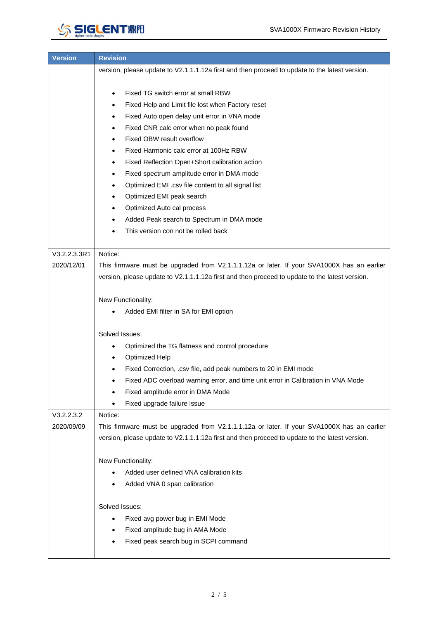## **SIGLENTRE**

| <b>Version</b> | <b>Revision</b>                                                                                |
|----------------|------------------------------------------------------------------------------------------------|
|                | version, please update to V2.1.1.1.12a first and then proceed to update to the latest version. |
|                |                                                                                                |
|                | Fixed TG switch error at small RBW<br>٠                                                        |
|                | Fixed Help and Limit file lost when Factory reset<br>٠                                         |
|                | Fixed Auto open delay unit error in VNA mode                                                   |
|                | Fixed CNR calc error when no peak found                                                        |
|                | Fixed OBW result overflow                                                                      |
|                | Fixed Harmonic calc error at 100Hz RBW<br>٠                                                    |
|                | Fixed Reflection Open+Short calibration action                                                 |
|                | Fixed spectrum amplitude error in DMA mode                                                     |
|                | Optimized EMI .csv file content to all signal list<br>٠                                        |
|                | Optimized EMI peak search                                                                      |
|                | Optimized Auto cal process                                                                     |
|                | Added Peak search to Spectrum in DMA mode                                                      |
|                | This version con not be rolled back                                                            |
|                |                                                                                                |
| V3.2.2.3.3R1   | Notice:                                                                                        |
| 2020/12/01     | This firmware must be upgraded from V2.1.1.1.12a or later. If your SVA1000X has an earlier     |
|                | version, please update to V2.1.1.1.12a first and then proceed to update to the latest version. |
|                |                                                                                                |
|                | New Functionality:                                                                             |
|                | Added EMI filter in SA for EMI option                                                          |
|                |                                                                                                |
|                | Solved Issues:                                                                                 |
|                | Optimized the TG flatness and control procedure                                                |
|                | <b>Optimized Help</b><br>٠                                                                     |
|                | Fixed Correction, .csv file, add peak numbers to 20 in EMI mode                                |
|                | Fixed ADC overload warning error, and time unit error in Calibration in VNA Mode               |
|                | Fixed amplitude error in DMA Mode                                                              |
|                | Fixed upgrade failure issue                                                                    |
| V3.2.2.3.2     | Notice:                                                                                        |
| 2020/09/09     | This firmware must be upgraded from V2.1.1.1.12a or later. If your SVA1000X has an earlier     |
|                | version, please update to V2.1.1.1.12a first and then proceed to update to the latest version. |
|                |                                                                                                |
|                | New Functionality:                                                                             |
|                | Added user defined VNA calibration kits                                                        |
|                | Added VNA 0 span calibration                                                                   |
|                |                                                                                                |
|                | Solved Issues:                                                                                 |
|                | Fixed avg power bug in EMI Mode                                                                |
|                | Fixed amplitude bug in AMA Mode                                                                |
|                | Fixed peak search bug in SCPI command                                                          |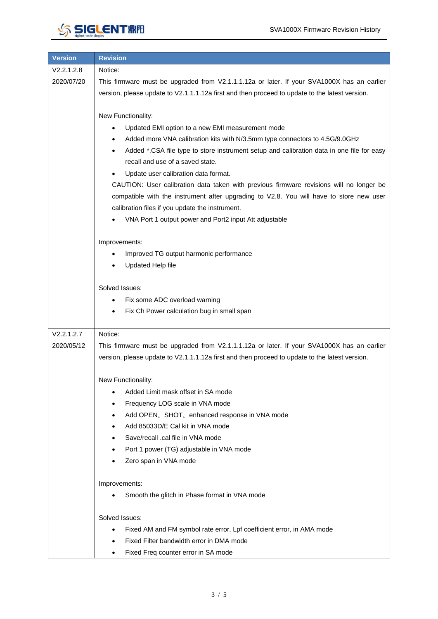| <b>Version</b> | <b>Revision</b>                                                                                        |
|----------------|--------------------------------------------------------------------------------------------------------|
| V2.2.1.2.8     | Notice:                                                                                                |
| 2020/07/20     | This firmware must be upgraded from V2.1.1.1.12a or later. If your SVA1000X has an earlier             |
|                | version, please update to V2.1.1.1.12a first and then proceed to update to the latest version.         |
|                |                                                                                                        |
|                | New Functionality:                                                                                     |
|                | Updated EMI option to a new EMI measurement mode                                                       |
|                | Added more VNA calibration kits with N/3.5mm type connectors to 4.5G/9.0GHz                            |
|                | Added *.CSA file type to store instrument setup and calibration data in one file for easy<br>$\bullet$ |
|                | recall and use of a saved state.                                                                       |
|                | Update user calibration data format.                                                                   |
|                | CAUTION: User calibration data taken with previous firmware revisions will no longer be                |
|                | compatible with the instrument after upgrading to V2.8. You will have to store new user                |
|                | calibration files if you update the instrument.                                                        |
|                | VNA Port 1 output power and Port2 input Att adjustable                                                 |
|                | Improvements:                                                                                          |
|                | Improved TG output harmonic performance                                                                |
|                | Updated Help file                                                                                      |
|                |                                                                                                        |
|                | Solved Issues:                                                                                         |
|                | Fix some ADC overload warning<br>$\bullet$                                                             |
|                | Fix Ch Power calculation bug in small span<br>$\bullet$                                                |
|                |                                                                                                        |
| V2.2.1.2.7     | Notice:                                                                                                |
| 2020/05/12     | This firmware must be upgraded from V2.1.1.1.12a or later. If your SVA1000X has an earlier             |
|                | version, please update to V2.1.1.1.12a first and then proceed to update to the latest version.         |
|                | New Functionality:                                                                                     |
|                | Added Limit mask offset in SA mode<br>٠                                                                |
|                | Frequency LOG scale in VNA mode                                                                        |
|                | $\bullet$                                                                                              |
|                | Add OPEN, SHOT, enhanced response in VNA mode<br>٠<br>Add 85033D/E Cal kit in VNA mode<br>٠            |
|                | Save/recall .cal file in VNA mode<br>$\bullet$                                                         |
|                | Port 1 power (TG) adjustable in VNA mode                                                               |
|                | Zero span in VNA mode                                                                                  |
|                |                                                                                                        |
|                | Improvements:                                                                                          |
|                | Smooth the glitch in Phase format in VNA mode                                                          |
|                | Solved Issues:                                                                                         |
|                | Fixed AM and FM symbol rate error, Lpf coefficient error, in AMA mode<br>٠                             |
|                | Fixed Filter bandwidth error in DMA mode<br>$\bullet$                                                  |
|                | Fixed Freq counter error in SA mode<br>٠                                                               |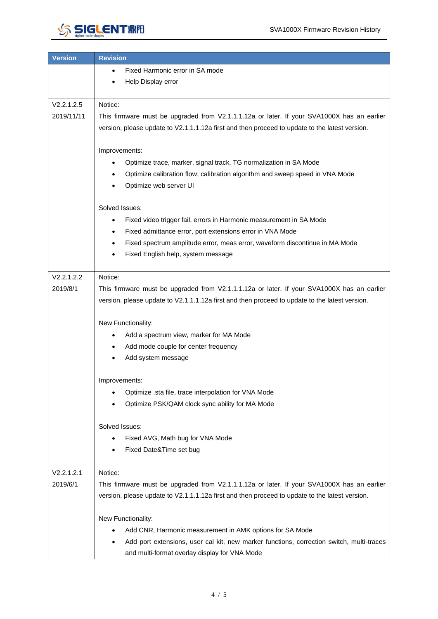

| <b>Version</b> | <b>Revision</b>                                                                                                                                                                              |
|----------------|----------------------------------------------------------------------------------------------------------------------------------------------------------------------------------------------|
|                | Fixed Harmonic error in SA mode<br>٠                                                                                                                                                         |
|                | Help Display error                                                                                                                                                                           |
|                |                                                                                                                                                                                              |
| V2.2.1.2.5     | Notice:                                                                                                                                                                                      |
| 2019/11/11     | This firmware must be upgraded from V2.1.1.1.12a or later. If your SVA1000X has an earlier                                                                                                   |
|                | version, please update to V2.1.1.1.12a first and then proceed to update to the latest version.                                                                                               |
|                | Improvements:                                                                                                                                                                                |
|                | Optimize trace, marker, signal track, TG normalization in SA Mode<br>$\bullet$                                                                                                               |
|                | Optimize calibration flow, calibration algorithm and sweep speed in VNA Mode<br>٠                                                                                                            |
|                | Optimize web server UI                                                                                                                                                                       |
|                |                                                                                                                                                                                              |
|                | Solved Issues:                                                                                                                                                                               |
|                | Fixed video trigger fail, errors in Harmonic measurement in SA Mode<br>$\bullet$                                                                                                             |
|                | Fixed admittance error, port extensions error in VNA Mode<br>٠                                                                                                                               |
|                | Fixed spectrum amplitude error, meas error, waveform discontinue in MA Mode<br>$\bullet$                                                                                                     |
|                | Fixed English help, system message                                                                                                                                                           |
|                |                                                                                                                                                                                              |
| V2.2.1.2.2     | Notice:                                                                                                                                                                                      |
| 2019/8/1       | This firmware must be upgraded from V2.1.1.1.12a or later. If your SVA1000X has an earlier<br>version, please update to V2.1.1.1.12a first and then proceed to update to the latest version. |
|                |                                                                                                                                                                                              |
|                | New Functionality:                                                                                                                                                                           |
|                | Add a spectrum view, marker for MA Mode                                                                                                                                                      |
|                | Add mode couple for center frequency                                                                                                                                                         |
|                | Add system message                                                                                                                                                                           |
|                |                                                                                                                                                                                              |
|                | Improvements:                                                                                                                                                                                |
|                | Optimize .sta file, trace interpolation for VNA Mode<br>Optimize PSK/QAM clock sync ability for MA Mode                                                                                      |
|                |                                                                                                                                                                                              |
|                | Solved Issues:                                                                                                                                                                               |
|                | Fixed AVG, Math bug for VNA Mode                                                                                                                                                             |
|                | Fixed Date&Time set bug                                                                                                                                                                      |
|                |                                                                                                                                                                                              |
| V2.2.1.2.1     | Notice:                                                                                                                                                                                      |
| 2019/6/1       | This firmware must be upgraded from V2.1.1.1.12a or later. If your SVA1000X has an earlier                                                                                                   |
|                | version, please update to V2.1.1.1.12a first and then proceed to update to the latest version.                                                                                               |
|                | New Functionality:                                                                                                                                                                           |
|                | Add CNR, Harmonic measurement in AMK options for SA Mode                                                                                                                                     |
|                | Add port extensions, user cal kit, new marker functions, correction switch, multi-traces                                                                                                     |
|                | and multi-format overlay display for VNA Mode                                                                                                                                                |